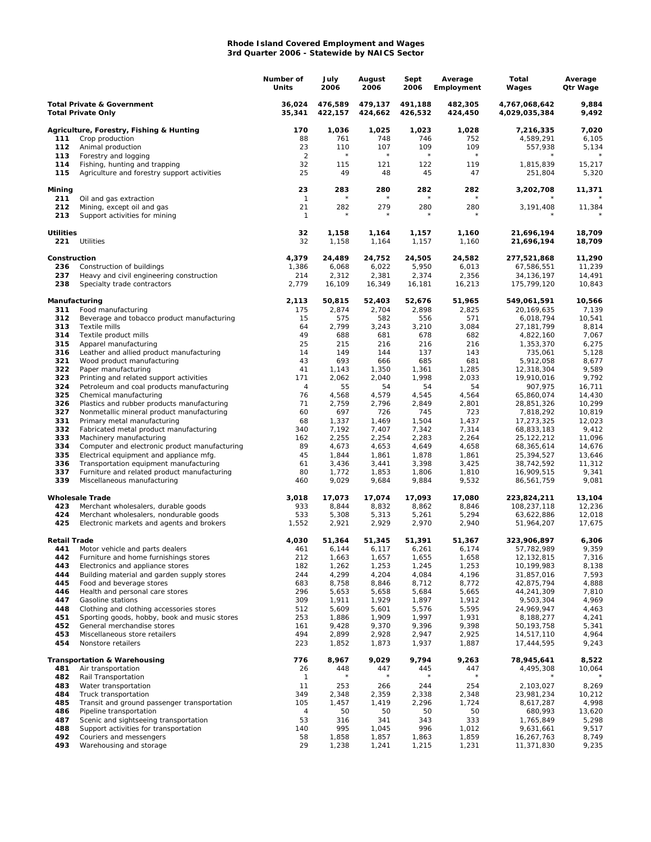## **Rhode Island Covered Employment and Wages 3rd Quarter 2006 - Statewide by NAICS Sector**

|                                                                    |                                                                                          | Number of<br>Units   | July<br>2006       | August<br>2006     | Sept<br>2006       | Average<br>Employment | Total<br>Wages                 | Average<br>Qtr Wage |
|--------------------------------------------------------------------|------------------------------------------------------------------------------------------|----------------------|--------------------|--------------------|--------------------|-----------------------|--------------------------------|---------------------|
| <b>Total Private &amp; Government</b><br><b>Total Private Only</b> |                                                                                          | 36,024<br>35,341     | 476,589<br>422,157 | 479,137<br>424,662 | 491,188<br>426,532 | 482,305<br>424,450    | 4,767,068,642<br>4,029,035,384 | 9,884<br>9,492      |
|                                                                    | Agriculture, Forestry, Fishing & Hunting                                                 | 170                  | 1,036              | 1,025              | 1,023              | 1,028                 | 7,216,335                      | 7,020               |
| 111                                                                | Crop production                                                                          | 88                   | 761                | 748                | 746                | 752                   | 4,589,291                      | 6,105               |
| 112                                                                | Animal production                                                                        | 23                   | 110<br>$\star$     | 107<br>$\star$     | 109<br>$\star$     | 109<br>$\star$        | 557,938                        | 5,134               |
| 113<br>114                                                         | Forestry and logging<br>Fishing, hunting and trapping                                    | $\overline{2}$<br>32 | 115                | 121                | 122                | 119                   | 1,815,839                      | 15,217              |
| 115                                                                | Agriculture and forestry support activities                                              | 25                   | 49                 | 48                 | 45                 | 47                    | 251,804                        | 5,320               |
| Mining                                                             |                                                                                          | 23<br>$\mathbf{1}$   | 283<br>$\star$     | 280                | 282<br>$\star$     | 282<br>$\star$        | 3,202,708                      | 11,371              |
| 211<br>212<br>213                                                  | Oil and gas extraction<br>Mining, except oil and gas                                     | 21<br>$\mathbf{1}$   | 282<br>$\star$     | 279                | 280<br>$\star$     | 280                   | 3,191,408                      | 11,384              |
| <b>Utilities</b>                                                   | Support activities for mining                                                            | 32                   | 1,158              | 1,164              | 1,157              | 1,160                 | 21,696,194                     | 18,709              |
| 221                                                                | Utilities                                                                                | 32                   | 1,158              | 1,164              | 1,157              | 1,160                 | 21,696,194                     | 18,709              |
| Construction                                                       |                                                                                          | 4,379                | 24,489             | 24,752             | 24,505             | 24,582                | 277,521,868                    | 11,290              |
| 236                                                                | Construction of buildings                                                                | 1,386                | 6,068              | 6,022              | 5,950              | 6,013                 | 67,586,551                     | 11,239              |
| 237<br>238                                                         | Heavy and civil engineering construction<br>Specialty trade contractors                  | 214<br>2,779         | 2,312<br>16,109    | 2,381<br>16,349    | 2,374<br>16,181    | 2,356<br>16,213       | 34, 136, 197<br>175,799,120    | 14,491<br>10,843    |
| Manufacturing                                                      |                                                                                          | 2,113                | 50,815             | 52,403             | 52,676             | 51,965                | 549,061,591                    | 10,566              |
| 311                                                                | Food manufacturing                                                                       | 175                  | 2,874              | 2,704              | 2,898              | 2,825                 | 20,169,635                     | 7,139               |
| 312                                                                | Beverage and tobacco product manufacturing                                               | 15                   | 575                | 582                | 556                | 571                   | 6,018,794                      | 10,541              |
| 313<br>314                                                         | Textile mills<br>Textile product mills                                                   | 64<br>49             | 2,799<br>688       | 3,243<br>681       | 3,210<br>678       | 3,084<br>682          | 27, 181, 799<br>4,822,160      | 8,814<br>7,067      |
| 315                                                                | Apparel manufacturing                                                                    | 25                   | 215                | 216                | 216                | 216                   | 1,353,370                      | 6,275               |
| 316                                                                | Leather and allied product manufacturing                                                 | 14                   | 149                | 144                | 137                | 143                   | 735,061                        | 5,128               |
| 321                                                                | Wood product manufacturing                                                               | 43                   | 693                | 666                | 685                | 681                   | 5,912,058                      | 8,677               |
| 322                                                                | Paper manufacturing                                                                      | 41                   | 1,143              | 1,350              | 1,361              | 1,285                 | 12,318,304                     | 9,589               |
| 323                                                                | Printing and related support activities                                                  | 171                  | 2,062              | 2,040              | 1,998              | 2,033                 | 19,910,016                     | 9,792               |
| 324<br>325                                                         | Petroleum and coal products manufacturing<br>Chemical manufacturing                      | 4<br>76              | 55<br>4,568        | 54<br>4,579        | 54<br>4,545        | 54<br>4,564           | 907,975<br>65,860,074          | 16,711<br>14,430    |
| 326                                                                | Plastics and rubber products manufacturing                                               | 71                   | 2,759              | 2,796              | 2,849              | 2,801                 | 28,851,326                     | 10,299              |
| 327                                                                | Nonmetallic mineral product manufacturing                                                | 60                   | 697                | 726                | 745                | 723                   | 7,818,292                      | 10,819              |
| 331                                                                | Primary metal manufacturing                                                              | 68                   | 1,337              | 1,469              | 1,504              | 1,437                 | 17,273,325                     | 12,023              |
| 332                                                                | Fabricated metal product manufacturing                                                   | 340                  | 7,192              | 7,407              | 7,342              | 7,314                 | 68,833,183                     | 9,412               |
| 333                                                                | Machinery manufacturing                                                                  | 162                  | 2,255              | 2,254              | 2,283              | 2,264                 | 25, 122, 212                   | 11,096              |
| 334<br>335                                                         | Computer and electronic product manufacturing<br>Electrical equipment and appliance mfg. | 89<br>45             | 4,673<br>1,844     | 4,653<br>1,861     | 4,649<br>1,878     | 4,658<br>1,861        | 68,365,614                     | 14,676<br>13,646    |
| 336                                                                | Transportation equipment manufacturing                                                   | 61                   | 3,436              | 3,441              | 3,398              | 3,425                 | 25,394,527<br>38,742,592       | 11,312              |
| 337                                                                | Furniture and related product manufacturing                                              | 80                   | 1,772              | 1,853              | 1,806              | 1,810                 | 16,909,515                     | 9,341               |
| 339                                                                | Miscellaneous manufacturing                                                              | 460                  | 9,029              | 9,684              | 9,884              | 9,532                 | 86,561,759                     | 9,081               |
| 423                                                                | <b>Wholesale Trade</b>                                                                   | 3,018<br>933         | 17,073<br>8,844    | 17,074<br>8,832    | 17,093<br>8,862    | 17,080<br>8,846       | 223,824,211<br>108,237,118     | 13,104<br>12,236    |
| 424                                                                | Merchant wholesalers, durable goods<br>Merchant wholesalers, nondurable goods            | 533                  | 5,308              | 5,313              | 5,261              | 5,294                 | 63,622,886                     | 12,018              |
| 425                                                                | Electronic markets and agents and brokers                                                | 1,552                | 2,921              | 2,929              | 2,970              | 2,940                 | 51,964,207                     | 17,675              |
| Retail Trade                                                       |                                                                                          | 4,030                | 51,364             | 51,345             | 51,391             | 51,367                | 323,906,897                    | 6,306               |
| 441<br>442                                                         | Motor vehicle and parts dealers<br>Furniture and home furnishings stores                 | 461<br>212           | 6,144              | 6,117              | 6,261              | 6,174                 | 57,782,989                     | 9,359               |
| 443                                                                | Electronics and appliance stores                                                         | 182                  | 1,663<br>1,262     | 1,657<br>1,253     | 1,655<br>1,245     | 1,658<br>1,253        | 12,132,815<br>10,199,983       | 7,316<br>8,138      |
| 444                                                                | Building material and garden supply stores                                               | 244                  | 4,299              | 4,204              | 4,084              | 4,196                 | 31,857,016                     | 7,593               |
| 445                                                                | Food and beverage stores                                                                 | 683                  | 8,758              | 8,846              | 8,712              | 8,772                 | 42,875,794                     | 4,888               |
| 446                                                                | Health and personal care stores                                                          | 296                  | 5,653              | 5,658              | 5,684              | 5,665                 | 44,241,309                     | 7,810               |
| 447                                                                | Gasoline stations                                                                        | 309                  | 1,911              | 1,929              | 1,897              | 1,912                 | 9,503,304                      | 4,969               |
| 448<br>451                                                         | Clothing and clothing accessories stores<br>Sporting goods, hobby, book and music stores | 512<br>253           | 5,609<br>1,886     | 5,601<br>1,909     | 5,576<br>1,997     | 5,595<br>1,931        | 24,969,947<br>8,188,277        | 4,463<br>4,241      |
| 452                                                                | General merchandise stores                                                               | 161                  | 9,428              | 9,370              | 9,396              | 9,398                 | 50,193,758                     | 5,341               |
| 453                                                                | Miscellaneous store retailers                                                            | 494                  | 2,899              | 2,928              | 2,947              | 2,925                 | 14,517,110                     | 4,964               |
| 454                                                                | Nonstore retailers                                                                       | 223                  | 1,852              | 1,873              | 1,937              | 1,887                 | 17,444,595                     | 9,243               |
|                                                                    | <b>Transportation &amp; Warehousing</b>                                                  | 776                  | 8,967              | 9,029              | 9,794              | 9,263                 | 78,945,641                     | 8,522               |
| 481<br>482                                                         | Air transportation<br>Rail Transportation                                                | 26<br>1              | 448                | 447                | 445<br>$^{\star}$  | 447                   | 4,495,308                      | 10,064              |
| 483                                                                | Water transportation                                                                     | 11                   | 253                | 266                | 244                | 254                   | 2,103,027                      | 8,269               |
| 484                                                                | Truck transportation                                                                     | 349                  | 2,348              | 2,359              | 2,338              | 2,348                 | 23,981,234                     | 10,212              |
| 485                                                                | Transit and ground passenger transportation                                              | 105                  | 1,457              | 1,419              | 2,296              | 1,724                 | 8,617,287                      | 4,998               |
| 486                                                                | Pipeline transportation                                                                  | 4                    | 50                 | 50                 | 50                 | 50                    | 680,993                        | 13,620              |
| 487                                                                | Scenic and sightseeing transportation                                                    | 53                   | 316                | 341                | 343                | 333                   | 1,765,849                      | 5,298               |
| 488<br>492                                                         | Support activities for transportation<br>Couriers and messengers                         | 140<br>58            | 995<br>1,858       | 1,045<br>1,857     | 996<br>1,863       | 1,012<br>1,859        | 9,631,661<br>16,267,763        | 9,517<br>8,749      |
| 493                                                                | Warehousing and storage                                                                  | 29                   | 1,238              | 1,241              | 1,215              | 1,231                 | 11,371,830                     | 9,235               |
|                                                                    |                                                                                          |                      |                    |                    |                    |                       |                                |                     |